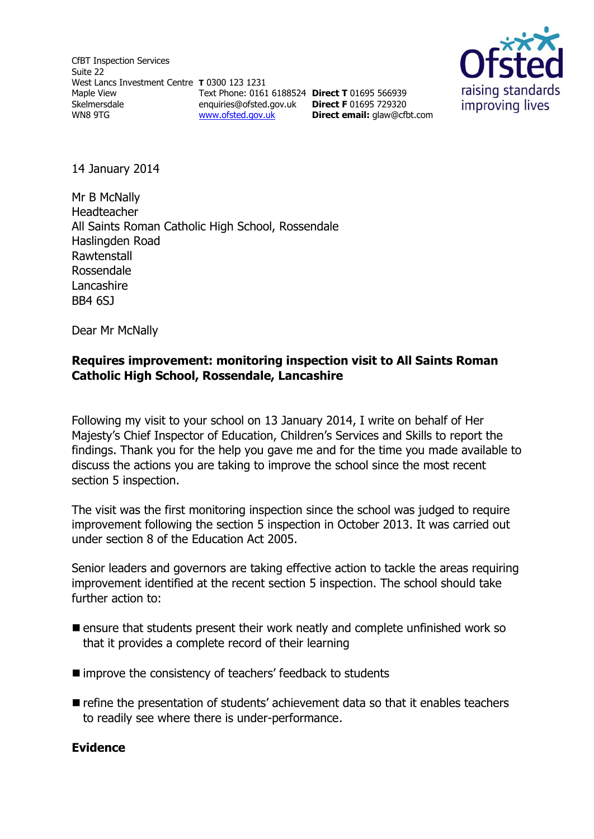CfBT Inspection Services Suite 22 West Lancs Investment Centre **T** 0300 123 1231 Maple View Skelmersdale WN8 9TG Text Phone: 0161 6188524 **Direct T** 01695 566939 enquiries@ofsted.gov.uk **Direct F** 01695 729320 [www.ofsted.gov.uk](http://www.ofsted.gov.uk/)



14 January 2014

Mr B McNally Headteacher All Saints Roman Catholic High School, Rossendale Haslingden Road Rawtenstall Rossendale Lancashire BB4 6SJ

Dear Mr McNally

### **Requires improvement: monitoring inspection visit to All Saints Roman Catholic High School, Rossendale, Lancashire**

**Direct email:** [glaw@cfbt.com](file:///C:/Users/sgornall/AppData/QMS%20Doc%20Control/Ofsted%20Zip%20Files/2.%20CURRENT%20(PLEASE%20DO%20NOT%20AMEND)/S8/Current%20s8%20docs/s8%20Inspection%20Instruments/s8_inspection_instruments/s8%20RI%20templates(RP231213%201626)/s8%20RI%20templates/glaw@cfbt.com)

Following my visit to your school on 13 January 2014, I write on behalf of Her Majesty's Chief Inspector of Education, Children's Services and Skills to report the findings. Thank you for the help you gave me and for the time you made available to discuss the actions you are taking to improve the school since the most recent section 5 inspection.

The visit was the first monitoring inspection since the school was judged to require improvement following the section 5 inspection in October 2013. It was carried out under section 8 of the Education Act 2005.

Senior leaders and governors are taking effective action to tackle the areas requiring improvement identified at the recent section 5 inspection. The school should take further action to:

- **E** ensure that students present their work neatly and complete unfinished work so that it provides a complete record of their learning
- improve the consistency of teachers' feedback to students
- $\blacksquare$  refine the presentation of students' achievement data so that it enables teachers to readily see where there is under-performance.

#### **Evidence**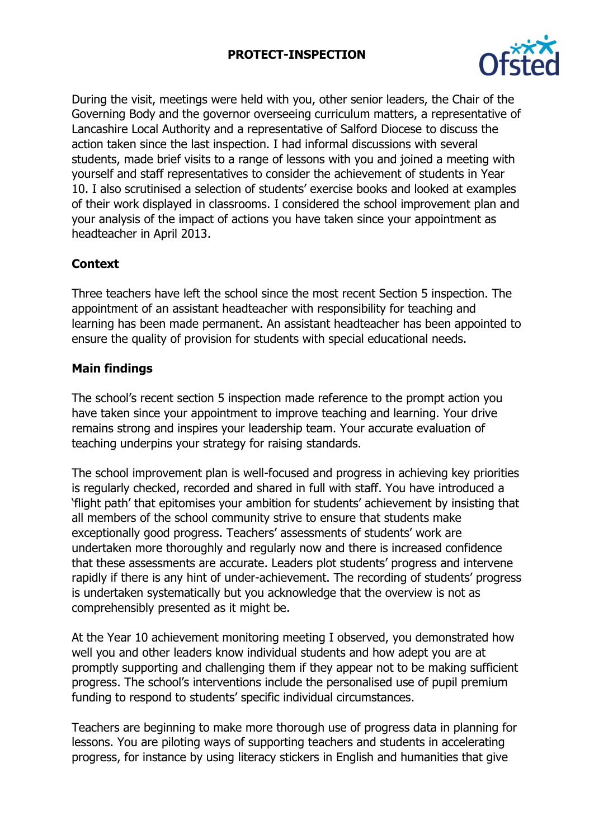### **PROTECT-INSPECTION**



During the visit, meetings were held with you, other senior leaders, the Chair of the Governing Body and the governor overseeing curriculum matters, a representative of Lancashire Local Authority and a representative of Salford Diocese to discuss the action taken since the last inspection. I had informal discussions with several students, made brief visits to a range of lessons with you and joined a meeting with yourself and staff representatives to consider the achievement of students in Year 10. I also scrutinised a selection of students' exercise books and looked at examples of their work displayed in classrooms. I considered the school improvement plan and your analysis of the impact of actions you have taken since your appointment as headteacher in April 2013.

# **Context**

Three teachers have left the school since the most recent Section 5 inspection. The appointment of an assistant headteacher with responsibility for teaching and learning has been made permanent. An assistant headteacher has been appointed to ensure the quality of provision for students with special educational needs.

### **Main findings**

The school's recent section 5 inspection made reference to the prompt action you have taken since your appointment to improve teaching and learning. Your drive remains strong and inspires your leadership team. Your accurate evaluation of teaching underpins your strategy for raising standards.

The school improvement plan is well-focused and progress in achieving key priorities is regularly checked, recorded and shared in full with staff. You have introduced a 'flight path' that epitomises your ambition for students' achievement by insisting that all members of the school community strive to ensure that students make exceptionally good progress. Teachers' assessments of students' work are undertaken more thoroughly and regularly now and there is increased confidence that these assessments are accurate. Leaders plot students' progress and intervene rapidly if there is any hint of under-achievement. The recording of students' progress is undertaken systematically but you acknowledge that the overview is not as comprehensibly presented as it might be.

At the Year 10 achievement monitoring meeting I observed, you demonstrated how well you and other leaders know individual students and how adept you are at promptly supporting and challenging them if they appear not to be making sufficient progress. The school's interventions include the personalised use of pupil premium funding to respond to students' specific individual circumstances.

Teachers are beginning to make more thorough use of progress data in planning for lessons. You are piloting ways of supporting teachers and students in accelerating progress, for instance by using literacy stickers in English and humanities that give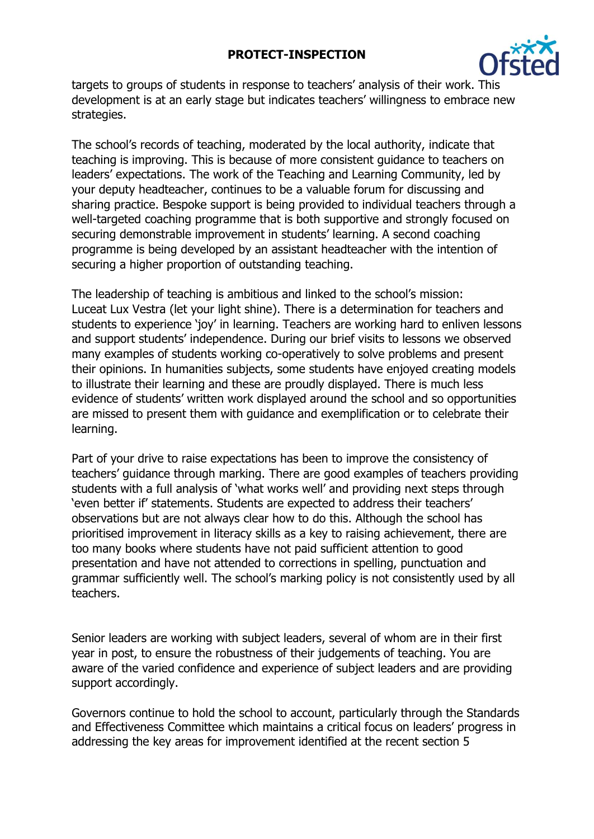### **PROTECT-INSPECTION**



targets to groups of students in response to teachers' analysis of their work. This development is at an early stage but indicates teachers' willingness to embrace new strategies.

The school's records of teaching, moderated by the local authority, indicate that teaching is improving. This is because of more consistent guidance to teachers on leaders' expectations. The work of the Teaching and Learning Community, led by your deputy headteacher, continues to be a valuable forum for discussing and sharing practice. Bespoke support is being provided to individual teachers through a well-targeted coaching programme that is both supportive and strongly focused on securing demonstrable improvement in students' learning. A second coaching programme is being developed by an assistant headteacher with the intention of securing a higher proportion of outstanding teaching.

The leadership of teaching is ambitious and linked to the school's mission: Luceat Lux Vestra (let your light shine). There is a determination for teachers and students to experience 'joy' in learning. Teachers are working hard to enliven lessons and support students' independence. During our brief visits to lessons we observed many examples of students working co-operatively to solve problems and present their opinions. In humanities subjects, some students have enjoyed creating models to illustrate their learning and these are proudly displayed. There is much less evidence of students' written work displayed around the school and so opportunities are missed to present them with guidance and exemplification or to celebrate their learning.

Part of your drive to raise expectations has been to improve the consistency of teachers' guidance through marking. There are good examples of teachers providing students with a full analysis of 'what works well' and providing next steps through 'even better if' statements. Students are expected to address their teachers' observations but are not always clear how to do this. Although the school has prioritised improvement in literacy skills as a key to raising achievement, there are too many books where students have not paid sufficient attention to good presentation and have not attended to corrections in spelling, punctuation and grammar sufficiently well. The school's marking policy is not consistently used by all teachers.

Senior leaders are working with subject leaders, several of whom are in their first year in post, to ensure the robustness of their judgements of teaching. You are aware of the varied confidence and experience of subject leaders and are providing support accordingly.

Governors continue to hold the school to account, particularly through the Standards and Effectiveness Committee which maintains a critical focus on leaders' progress in addressing the key areas for improvement identified at the recent section 5